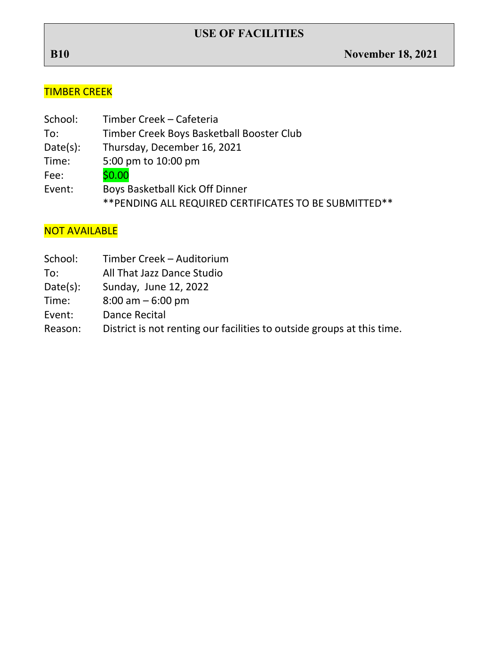### **USE OF FACILITIES**

## TIMBER CREEK

| School:  | Timber Creek - Cafeteria                               |
|----------|--------------------------------------------------------|
| To:      | Timber Creek Boys Basketball Booster Club              |
| Date(s): | Thursday, December 16, 2021                            |
| Time:    | 5:00 pm to 10:00 pm                                    |
| Fee:     | \$0.00                                                 |
| Event:   | Boys Basketball Kick Off Dinner                        |
|          | ** PENDING ALL REQUIRED CERTIFICATES TO BE SUBMITTED** |

## NOT AVAILABLE

- School: Timber Creek Auditorium
- To: All That Jazz Dance Studio
- Date(s): Sunday, June 12, 2022
- Time: 8:00 am 6:00 pm
- Event: Dance Recital
- Reason: District is not renting our facilities to outside groups at this time.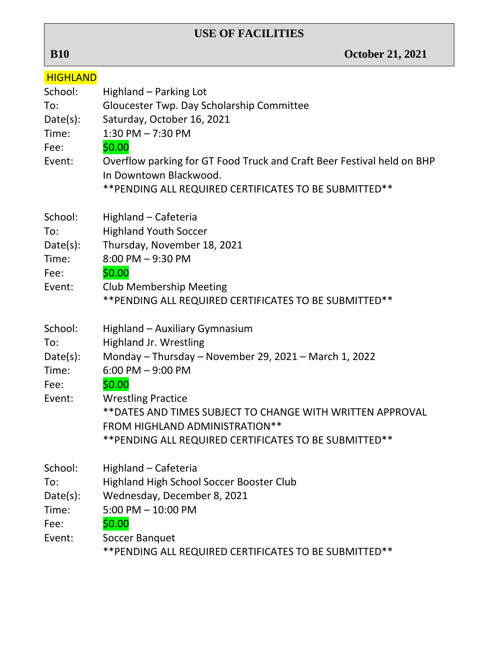# **USE OF FACILITIES**

**B10 October 21, 2021** 

| <b>HIGHLAND</b> |                                                                        |
|-----------------|------------------------------------------------------------------------|
| School:         | Highland – Parking Lot                                                 |
| To:             | Gloucester Twp. Day Scholarship Committee                              |
| Date(s):        | Saturday, October 16, 2021                                             |
| Time:           | 1:30 PM $- 7:30$ PM                                                    |
| Fee:            | \$0.00                                                                 |
| Event:          | Overflow parking for GT Food Truck and Craft Beer Festival held on BHP |
|                 | In Downtown Blackwood.                                                 |
|                 | ** PENDING ALL REQUIRED CERTIFICATES TO BE SUBMITTED **                |
| School:         | Highland - Cafeteria                                                   |
| To:             | <b>Highland Youth Soccer</b>                                           |
| Date(s):        | Thursday, November 18, 2021                                            |
| Time:           | $8:00$ PM $-9:30$ PM                                                   |
| Fee:            | 50.00                                                                  |
| Event:          | <b>Club Membership Meeting</b>                                         |
|                 | ** PENDING ALL REQUIRED CERTIFICATES TO BE SUBMITTED **                |
| School:         | Highland - Auxiliary Gymnasium                                         |
| To:             | <b>Highland Jr. Wrestling</b>                                          |
| Date(s):        | Monday - Thursday - November 29, 2021 - March 1, 2022                  |
| Time:           | $6:00$ PM $-9:00$ PM                                                   |
| Fee:            | \$0.00                                                                 |
| Event:          | <b>Wrestling Practice</b>                                              |
|                 | ** DATES AND TIMES SUBJECT TO CHANGE WITH WRITTEN APPROVAL             |
|                 | <b>FROM HIGHLAND ADMINISTRATION**</b>                                  |
|                 | ** PENDING ALL REQUIRED CERTIFICATES TO BE SUBMITTED **                |
| School:         | Highland - Cafeteria                                                   |
| To:             | Highland High School Soccer Booster Club                               |
| Date(s):        | Wednesday, December 8, 2021                                            |
| Time:           | $5:00$ PM $- 10:00$ PM                                                 |
| Fee:            | \$0.00                                                                 |
| Event:          | Soccer Banquet                                                         |
|                 | ** PENDING ALL REQUIRED CERTIFICATES TO BE SUBMITTED **                |